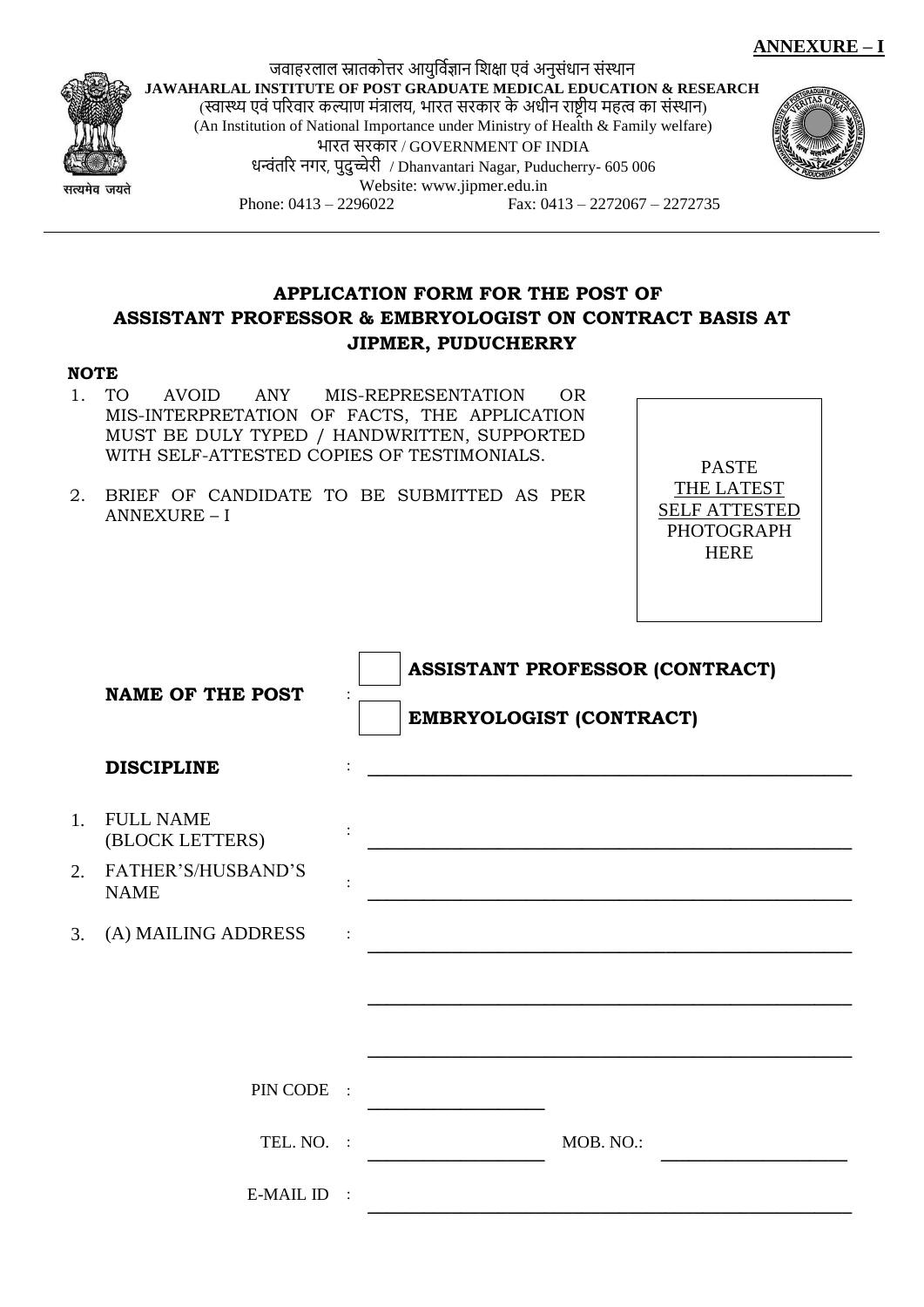



जवाहरलाल स्नातकोत्तर आयुर्विज्ञान शिक्षा एवं अनुसंधान संस्थान **JAWAHARLAL INSTITUTE OF POST GRADUATE MEDICAL EDUCATION & RESEARCH** (स्वास्थ्य एवं पररवार कल्याण मंत्रालय, भारत सरकार के अधीन राष्ट्रीय महत्व का संस्थान) (An Institution of National Importance under Ministry of Health & Family welfare) भारत सरकार / GOVERNMENT OF INDIA धन्वंतरि नगर, पुदुच्चेरी / Dhanvantari Nagar, Puducherry- 605 006 Website[: www.jipmer.edu.in](http://www.jipmer.edu.in/) Phone: 0413 – 2296022 Fax: 0413 – 2272067 – 2272735



## **APPLICATION FORM FOR THE POST OF ASSISTANT PROFESSOR & EMBRYOLOGIST ON CONTRACT BASIS AT JIPMER, PUDUCHERRY**

#### **NOTE**

- 1. TO AVOID ANY MIS-REPRESENTATION OR MIS-INTERPRETATION OF FACTS, THE APPLICATION MUST BE DULY TYPED / HANDWRITTEN, SUPPORTED WITH SELF-ATTESTED COPIES OF TESTIMONIALS. PASTE
- 2. BRIEF OF CANDIDATE TO BE SUBMITTED AS PER ANNEXURE – I

THE LATEST SELF ATTESTED PHOTOGRAPH HERE

|    | <b>NAME OF THE POST</b>              |  | <b>ASSISTANT PROFESSOR (CONTRACT)</b>          |
|----|--------------------------------------|--|------------------------------------------------|
|    |                                      |  | <b>EMBRYOLOGIST (CONTRACT)</b>                 |
|    | <b>DISCIPLINE</b>                    |  | <u> 1989 - Johann Stein, marwolaethau a bh</u> |
| 1. | <b>FULL NAME</b><br>(BLOCK LETTERS)  |  |                                                |
|    | 2. FATHER'S/HUSBAND'S<br><b>NAME</b> |  |                                                |
|    | 3. (A) MAILING ADDRESS               |  |                                                |
|    |                                      |  |                                                |
|    |                                      |  |                                                |
|    | PIN CODE :                           |  |                                                |
|    | TEL. NO. :                           |  | MOB. NO.:                                      |
|    | E-MAIL ID :                          |  |                                                |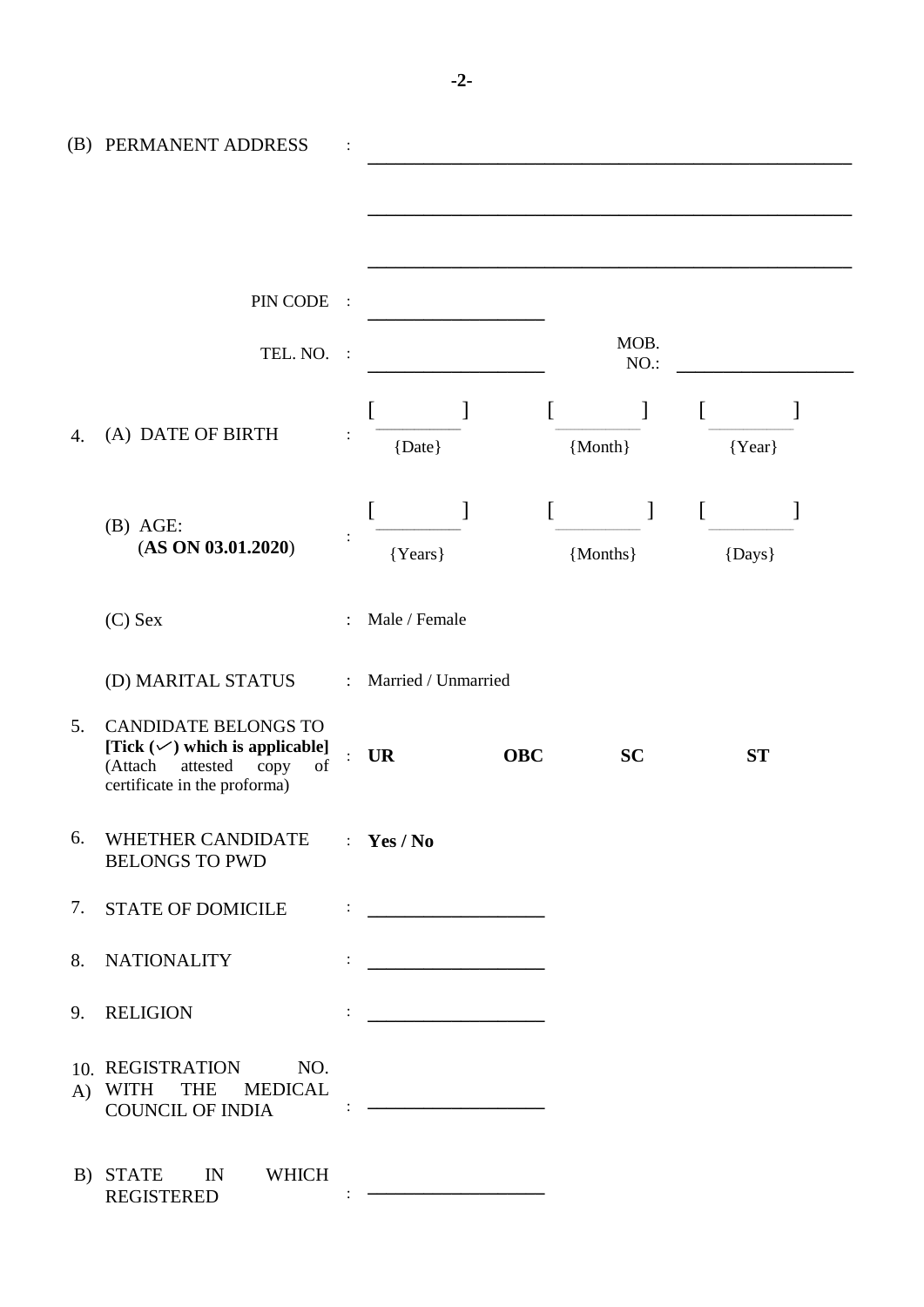|    | (B) PERMANENT ADDRESS                                                                                                                         |                     |                     |                  |           |          |           |
|----|-----------------------------------------------------------------------------------------------------------------------------------------------|---------------------|---------------------|------------------|-----------|----------|-----------|
|    |                                                                                                                                               |                     |                     |                  |           |          |           |
|    | PIN CODE                                                                                                                                      | $\sim$ 1            |                     |                  | MOB.      |          |           |
|    | TEL. NO.                                                                                                                                      | $\therefore$        |                     |                  | NO.:      |          |           |
| 4. | (A) DATE OF BIRTH                                                                                                                             |                     | {Date}              | $\left[ \right]$ | {Month}   | $\Gamma$ | ${Year}$  |
|    | $(B)$ AGE:<br>(AS ON 03.01.2020)                                                                                                              |                     | {Years}             |                  | {Months}  |          | {Days}    |
|    | $(C)$ Sex                                                                                                                                     |                     | Male / Female       |                  |           |          |           |
|    | (D) MARITAL STATUS                                                                                                                            | $\mathcal{L}^{\pm}$ | Married / Unmarried |                  |           |          |           |
| 5. | <b>CANDIDATE BELONGS TO</b><br>[Tick $(\checkmark)$ which is applicable]<br>attested<br>of<br>(Attach<br>copy<br>certificate in the proforma) |                     | <b>UR</b>           | <b>OBC</b>       | <b>SC</b> |          | <b>ST</b> |
|    | 6. WHETHER CANDIDATE : Yes / No<br><b>BELONGS TO PWD</b>                                                                                      |                     |                     |                  |           |          |           |
|    | 7. STATE OF DOMICILE $\qquad \qquad : \qquad$                                                                                                 |                     |                     |                  |           |          |           |
|    |                                                                                                                                               |                     |                     |                  |           |          |           |
|    | 9. RELIGION                                                                                                                                   |                     |                     |                  |           |          |           |
|    | 10. REGISTRATION NO.<br>A) WITH THE MEDICAL                                                                                                   |                     |                     |                  |           |          |           |
|    | B) STATE IN WHICH<br><b>REGISTERED</b>                                                                                                        |                     |                     |                  |           |          |           |

**-2-**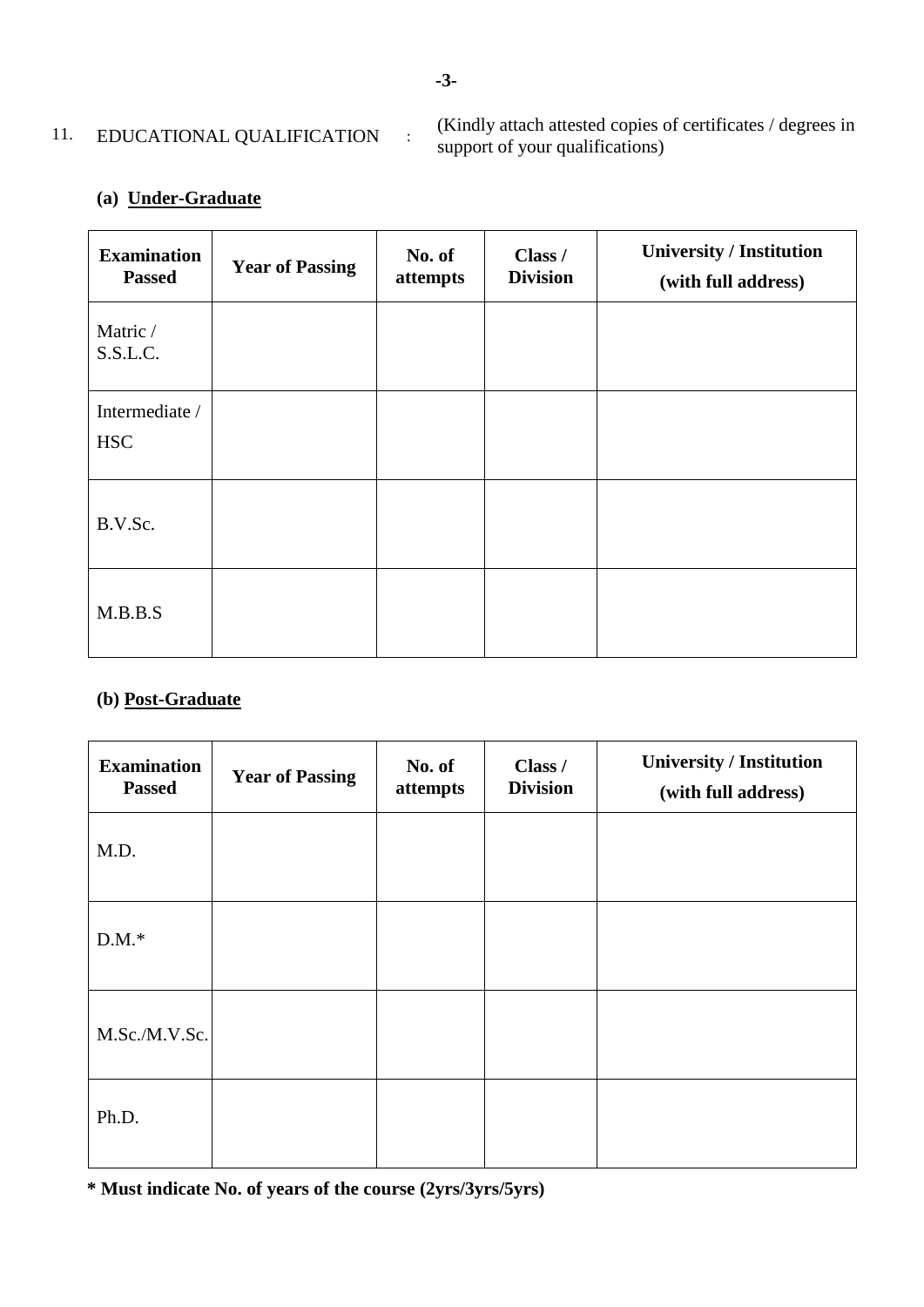## 11. EDUCATIONAL QUALIFICATION :

(Kindly attach attested copies of certificates / degrees in support of your qualifications)

## **(a) Under-Graduate**

| <b>Examination</b><br><b>Passed</b> | <b>Year of Passing</b> | No. of<br>attempts | Class /<br><b>Division</b> | <b>University / Institution</b><br>(with full address) |
|-------------------------------------|------------------------|--------------------|----------------------------|--------------------------------------------------------|
| Matric /<br>S.S.L.C.                |                        |                    |                            |                                                        |
| Intermediate /<br><b>HSC</b>        |                        |                    |                            |                                                        |
| B.V.Sc.                             |                        |                    |                            |                                                        |
| M.B.B.S                             |                        |                    |                            |                                                        |

## **(b) Post-Graduate**

| <b>Examination</b><br><b>Passed</b> | <b>Year of Passing</b> | No. of<br>attempts | Class /<br><b>Division</b> | <b>University / Institution</b><br>(with full address) |
|-------------------------------------|------------------------|--------------------|----------------------------|--------------------------------------------------------|
| M.D.                                |                        |                    |                            |                                                        |
| $D.M.*$                             |                        |                    |                            |                                                        |
| M.Sc./M.V.Sc.                       |                        |                    |                            |                                                        |
| Ph.D.                               |                        |                    |                            |                                                        |

**\* Must indicate No. of years of the course (2yrs/3yrs/5yrs)**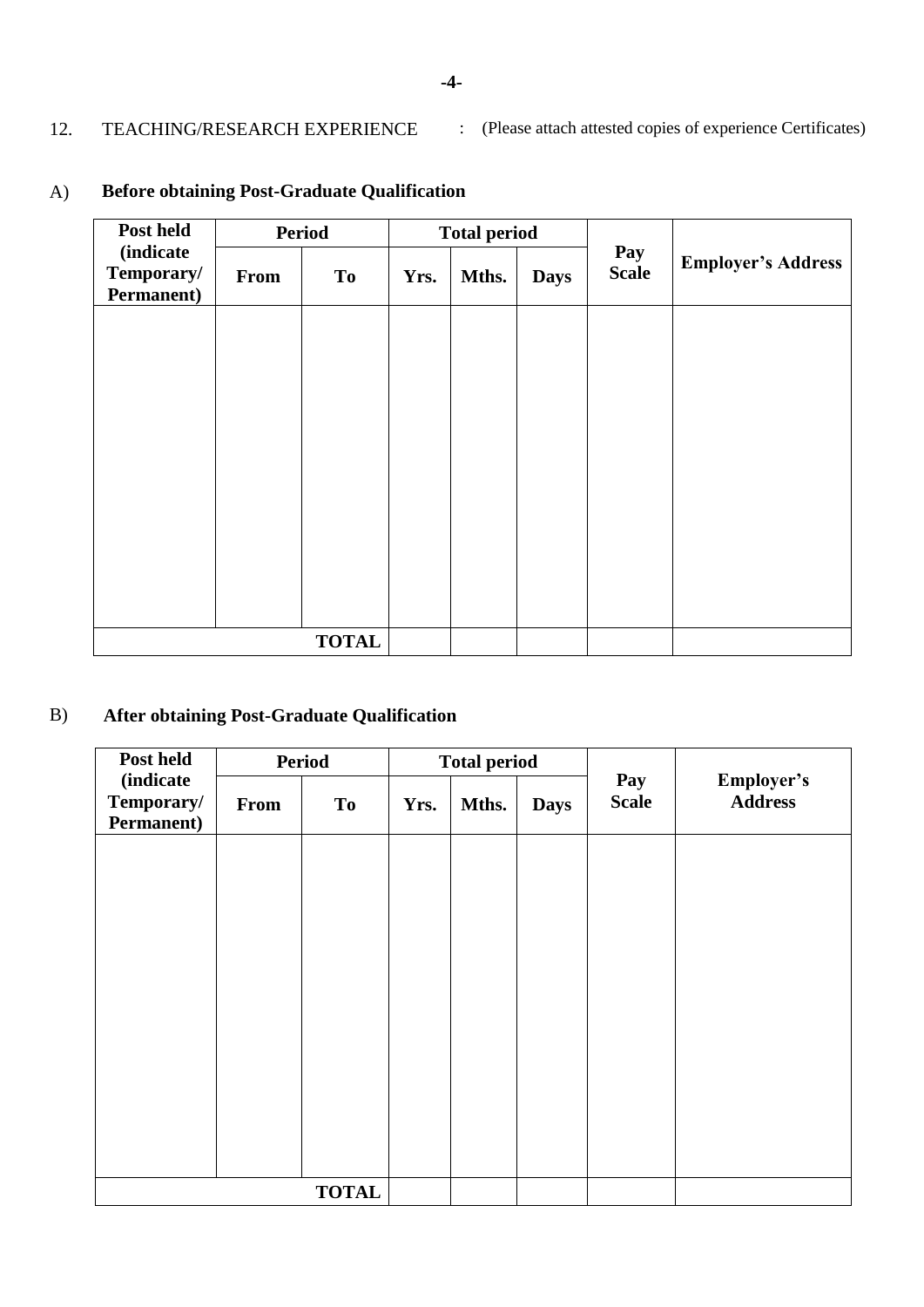12. TEACHING/RESEARCH EXPERIENCE : (Please attach attested copies of experience Certificates)

| Post held                                     | <b>Period</b> |           | <b>Total period</b> |       |             |                     |                           |
|-----------------------------------------------|---------------|-----------|---------------------|-------|-------------|---------------------|---------------------------|
| <i>(indicate)</i><br>Temporary/<br>Permanent) | <b>From</b>   | <b>To</b> | Yrs.                | Mths. | <b>Days</b> | Pay<br><b>Scale</b> | <b>Employer's Address</b> |
|                                               |               |           |                     |       |             |                     |                           |
|                                               |               |           |                     |       |             |                     |                           |
|                                               |               |           |                     |       |             |                     |                           |
|                                               |               |           |                     |       |             |                     |                           |
|                                               |               |           |                     |       |             |                     |                           |
|                                               |               |           |                     |       |             |                     |                           |
|                                               |               |           |                     |       |             |                     |                           |
|                                               |               |           |                     |       |             |                     |                           |
|                                               |               |           |                     |       |             |                     |                           |
|                                               |               |           |                     |       |             |                     |                           |

# A) **Before obtaining Post-Graduate Qualification**

# B) **After obtaining Post-Graduate Qualification**

| Post held                                     | <b>Period</b> |              | <b>Total period</b> |       |             |                     |                              |
|-----------------------------------------------|---------------|--------------|---------------------|-------|-------------|---------------------|------------------------------|
| <i>(indicate)</i><br>Temporary/<br>Permanent) | From          | <b>To</b>    | Yrs.                | Mths. | <b>Days</b> | Pay<br><b>Scale</b> | Employer's<br><b>Address</b> |
|                                               |               |              |                     |       |             |                     |                              |
|                                               |               |              |                     |       |             |                     |                              |
|                                               |               |              |                     |       |             |                     |                              |
|                                               |               |              |                     |       |             |                     |                              |
|                                               |               |              |                     |       |             |                     |                              |
|                                               |               |              |                     |       |             |                     |                              |
|                                               |               |              |                     |       |             |                     |                              |
|                                               |               |              |                     |       |             |                     |                              |
|                                               |               |              |                     |       |             |                     |                              |
|                                               |               | <b>TOTAL</b> |                     |       |             |                     |                              |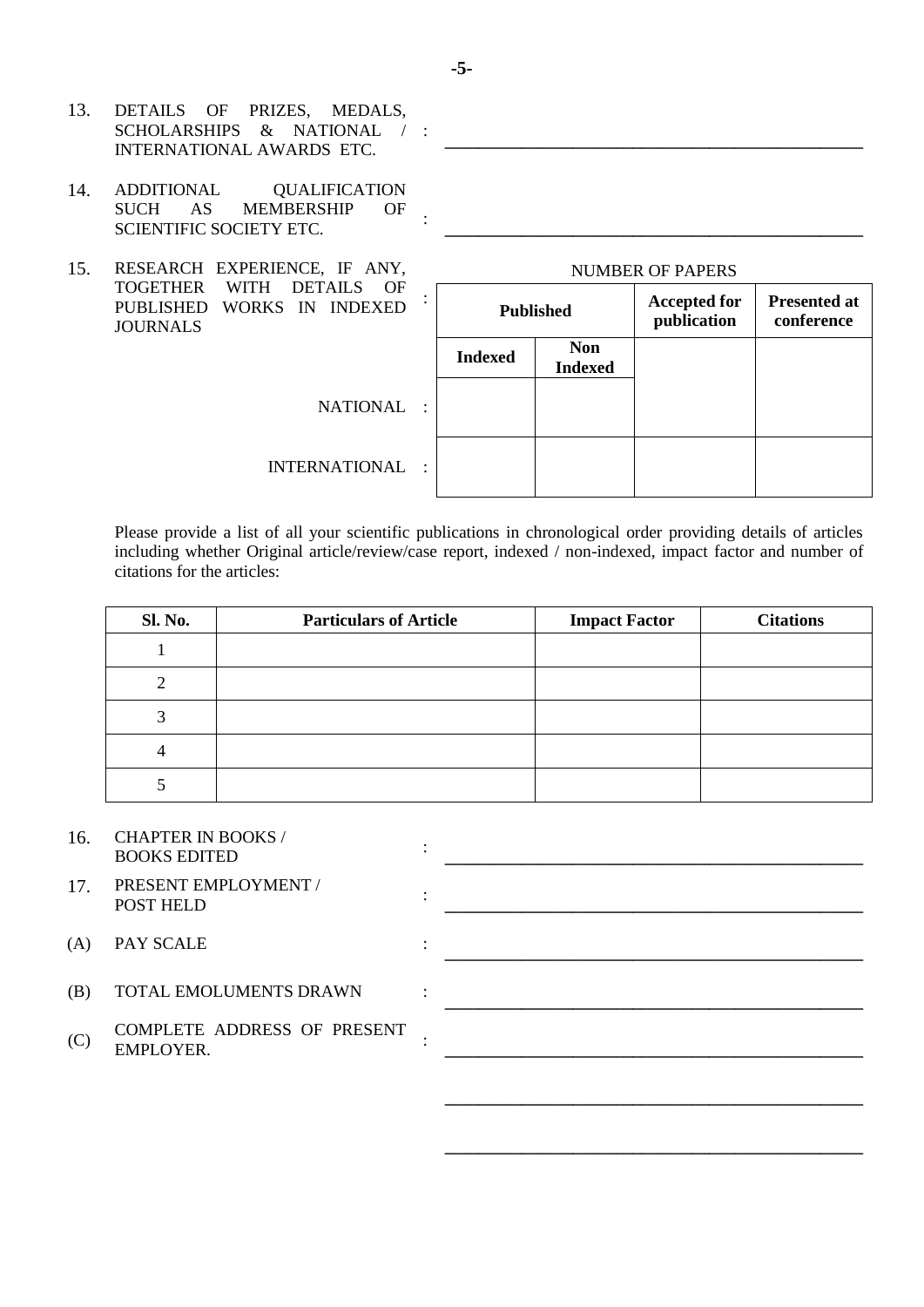- 13. DETAILS OF PRIZES, MEDALS, SCHOLARSHIPS & NATIONAL / : INTERNATIONAL AWARDS ETC.
- 14. ADDITIONAL QUALIFICATION SUCH AS MEMBERSHIP OF SCIENTIFIC SOCIETY ETC.
- 15. RESEARCH EXPERIENCE, IF ANY, TOGETHER WITH DETAILS OF PUBLISHED WORKS IN INDEXED JOURNALS

| <b>Published</b> |                              | <b>Accepted for</b><br>publication | <b>Presented at</b><br>conference |
|------------------|------------------------------|------------------------------------|-----------------------------------|
| <b>Indexed</b>   | <b>Non</b><br><b>Indexed</b> |                                    |                                   |
|                  |                              |                                    |                                   |
|                  |                              |                                    |                                   |

 $\mathcal{L} = \{ \mathcal{L} \}$ 

**\_\_\_\_\_\_\_\_\_\_\_\_\_\_\_\_\_\_\_\_\_\_\_\_\_\_\_\_\_\_\_\_\_\_\_\_\_\_\_\_\_\_\_\_\_\_\_\_\_**

**\_\_\_\_\_\_\_\_\_\_\_\_\_\_\_\_\_\_\_\_\_\_\_\_\_\_\_\_\_\_\_\_\_\_\_\_\_\_\_\_\_\_\_\_\_\_\_\_\_**

**\_\_\_\_\_\_\_\_\_\_\_\_\_\_\_\_\_\_\_\_\_\_\_\_\_\_\_\_\_\_\_\_\_\_\_\_\_\_\_\_\_\_\_\_\_\_\_\_\_**

**\_\_\_\_\_\_\_\_\_\_\_\_\_\_\_\_\_\_\_\_\_\_\_\_\_\_\_\_\_\_\_\_\_\_\_\_\_\_\_\_\_\_\_\_\_\_\_\_\_**

**\_\_\_\_\_\_\_\_\_\_\_\_\_\_\_\_\_\_\_\_\_\_\_\_\_\_\_\_\_\_\_\_\_\_\_\_\_\_\_\_\_\_\_\_\_\_\_\_\_**

**NATIONAL** 

**INTERNATIONAL** 

Please provide a list of all your scientific publications in chronological order providing details of articles including whether Original article/review/case report, indexed / non-indexed, impact factor and number of citations for the articles:

| <b>Sl. No.</b> | <b>Particulars of Article</b> | <b>Impact Factor</b> | <b>Citations</b> |
|----------------|-------------------------------|----------------------|------------------|
|                |                               |                      |                  |
|                |                               |                      |                  |
|                |                               |                      |                  |
|                |                               |                      |                  |
|                |                               |                      |                  |

| 16. | <b>CHAPTER IN BOOKS</b> |  |
|-----|-------------------------|--|
|     | <b>BOOKS EDITED</b>     |  |

- 17. PRESENT EMPLOYMENT / POST HELD :
- (A) PAY SCALE :
- (B) TOTAL EMOLUMENTS DRAWN :
- $(C)$ COMPLETE ADDRESS OF PRESENT EMPLOYER.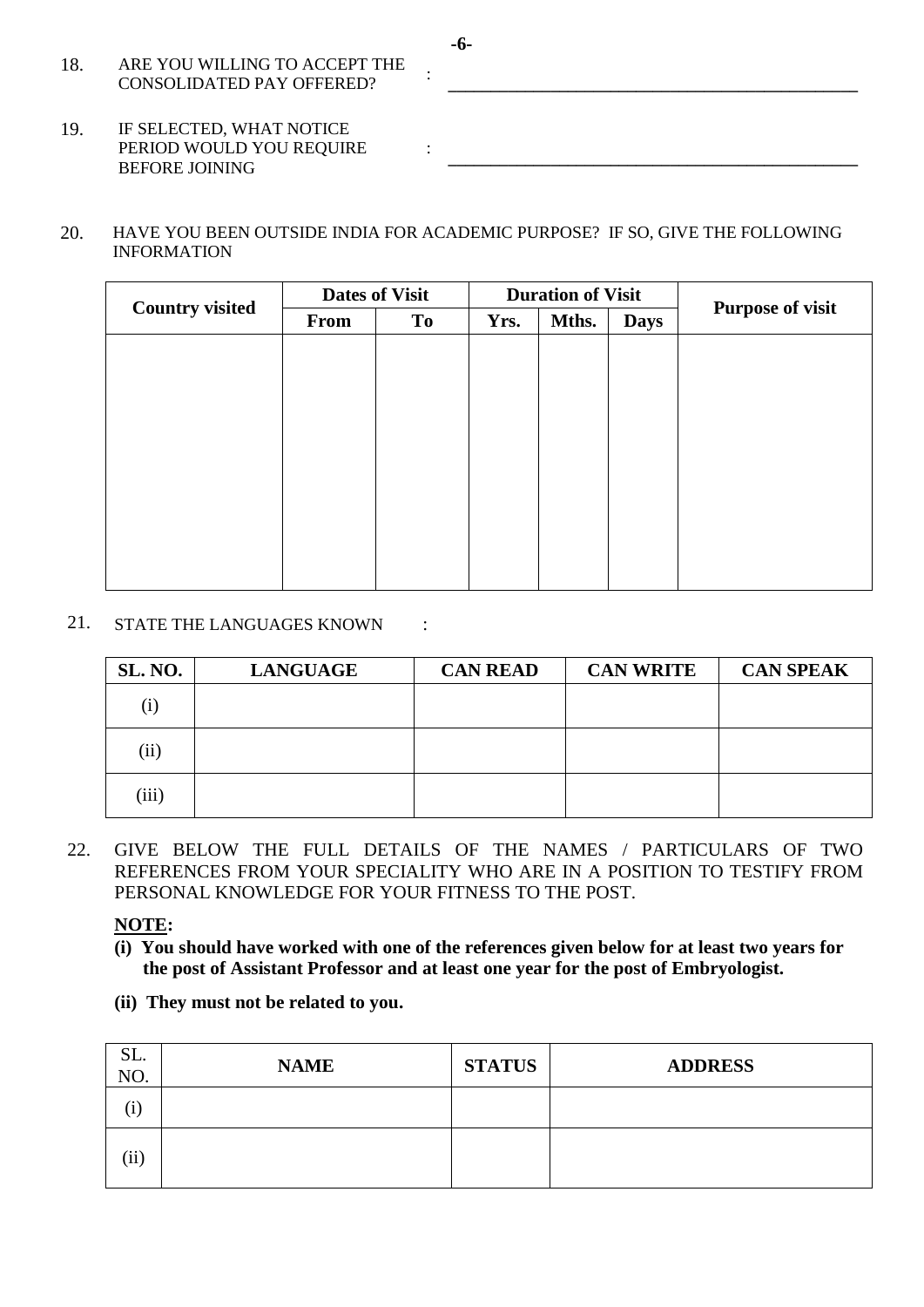- 18. ARE YOU WILLING TO ACCEPT THE CONSOLIDATED PAY OFFERED?
- 19. IF SELECTED, WHAT NOTICE PERIOD WOULD YOU REQUIRE BEFORE JOINING
- 20. HAVE YOU BEEN OUTSIDE INDIA FOR ACADEMIC PURPOSE? IF SO, GIVE THE FOLLOWING INFORMATION

:

|                        | <b>Dates of Visit</b> |           | <b>Duration of Visit</b> |       |             |                         |  |
|------------------------|-----------------------|-----------|--------------------------|-------|-------------|-------------------------|--|
| <b>Country visited</b> | From                  | <b>To</b> | Yrs.                     | Mths. | <b>Days</b> | <b>Purpose of visit</b> |  |
|                        |                       |           |                          |       |             |                         |  |
|                        |                       |           |                          |       |             |                         |  |
|                        |                       |           |                          |       |             |                         |  |
|                        |                       |           |                          |       |             |                         |  |
|                        |                       |           |                          |       |             |                         |  |
|                        |                       |           |                          |       |             |                         |  |
|                        |                       |           |                          |       |             |                         |  |
|                        |                       |           |                          |       |             |                         |  |
|                        |                       |           |                          |       |             |                         |  |
|                        |                       |           |                          |       |             |                         |  |

### 21. STATE THE LANGUAGES KNOWN :

| SL. NO. | <b>LANGUAGE</b> | <b>CAN READ</b> | <b>CAN WRITE</b> | <b>CAN SPEAK</b> |
|---------|-----------------|-----------------|------------------|------------------|
| (i)     |                 |                 |                  |                  |
| (ii)    |                 |                 |                  |                  |
| (iii)   |                 |                 |                  |                  |

22. GIVE BELOW THE FULL DETAILS OF THE NAMES / PARTICULARS OF TWO REFERENCES FROM YOUR SPECIALITY WHO ARE IN A POSITION TO TESTIFY FROM PERSONAL KNOWLEDGE FOR YOUR FITNESS TO THE POST.

## **NOTE:**

- **(i) You should have worked with one of the references given below for at least two years for the post of Assistant Professor and at least one year for the post of Embryologist.**
- **(ii) They must not be related to you.**

| SL.<br>NO. | <b>NAME</b> | <b>STATUS</b> | <b>ADDRESS</b> |
|------------|-------------|---------------|----------------|
| $\rm(i)$   |             |               |                |
| $\rm(ii)$  |             |               |                |

**-6-**

**\_\_\_\_\_\_\_\_\_\_\_\_\_\_\_\_\_\_\_\_\_\_\_\_\_\_\_\_\_\_\_\_\_\_\_\_\_\_\_\_\_\_\_\_\_\_\_\_**

**\_\_\_\_\_\_\_\_\_\_\_\_\_\_\_\_\_\_\_\_\_\_\_\_\_\_\_\_\_\_\_\_\_\_\_\_\_\_\_\_\_\_\_\_\_\_\_\_**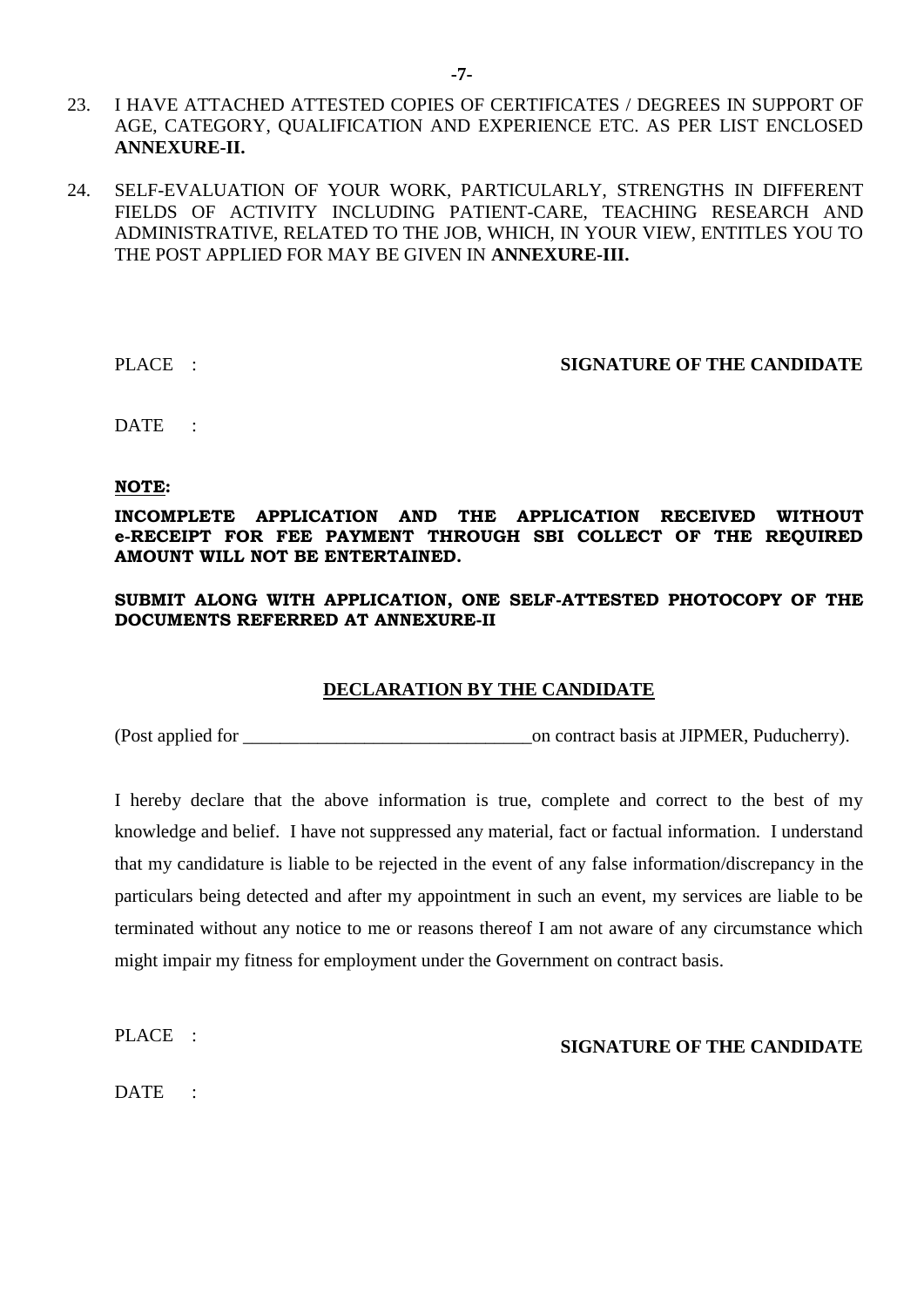- 23. I HAVE ATTACHED ATTESTED COPIES OF CERTIFICATES / DEGREES IN SUPPORT OF AGE, CATEGORY, QUALIFICATION AND EXPERIENCE ETC. AS PER LIST ENCLOSED **ANNEXURE-II.**
- 24. SELF-EVALUATION OF YOUR WORK, PARTICULARLY, STRENGTHS IN DIFFERENT FIELDS OF ACTIVITY INCLUDING PATIENT-CARE, TEACHING RESEARCH AND ADMINISTRATIVE, RELATED TO THE JOB, WHICH, IN YOUR VIEW, ENTITLES YOU TO THE POST APPLIED FOR MAY BE GIVEN IN **ANNEXURE-III.**

#### PLACE : **SIGNATURE OF THE CANDIDATE**

DATE :

#### **NOTE:**

#### **INCOMPLETE APPLICATION AND THE APPLICATION RECEIVED WITHOUT e-RECEIPT FOR FEE PAYMENT THROUGH SBI COLLECT OF THE REQUIRED AMOUNT WILL NOT BE ENTERTAINED.**

#### **SUBMIT ALONG WITH APPLICATION, ONE SELF-ATTESTED PHOTOCOPY OF THE DOCUMENTS REFERRED AT ANNEXURE-II**

#### **DECLARATION BY THE CANDIDATE**

(Post applied for  $\blacksquare$ ) on contract basis at JIPMER, Puducherry).

I hereby declare that the above information is true, complete and correct to the best of my knowledge and belief. I have not suppressed any material, fact or factual information. I understand that my candidature is liable to be rejected in the event of any false information/discrepancy in the particulars being detected and after my appointment in such an event, my services are liable to be terminated without any notice to me or reasons thereof I am not aware of any circumstance which might impair my fitness for employment under the Government on contract basis.

PLACE :

DATE :

**SIGNATURE OF THE CANDIDATE**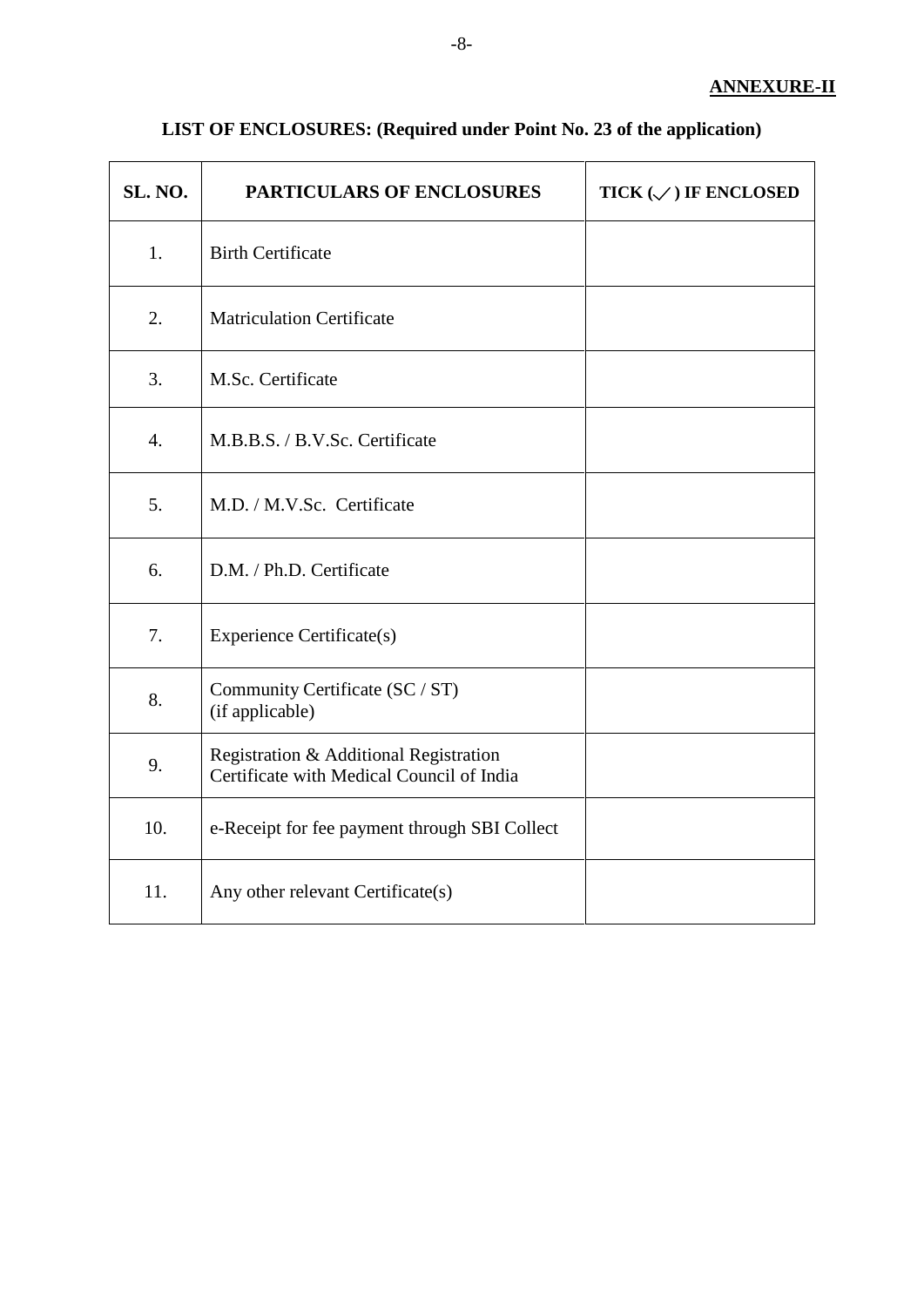| SL. NO. | <b>PARTICULARS OF ENCLOSURES</b>                                                    | TICK $(\mathcal{S})$ IF ENCLOSED |
|---------|-------------------------------------------------------------------------------------|----------------------------------|
| 1.      | <b>Birth Certificate</b>                                                            |                                  |
| 2.      | <b>Matriculation Certificate</b>                                                    |                                  |
| 3.      | M.Sc. Certificate                                                                   |                                  |
| 4.      | M.B.B.S. / B.V.Sc. Certificate                                                      |                                  |
| 5.      | M.D. / M.V.Sc. Certificate                                                          |                                  |
| 6.      | D.M. / Ph.D. Certificate                                                            |                                  |
| 7.      | <b>Experience Certificate(s)</b>                                                    |                                  |
| 8.      | Community Certificate (SC / ST)<br>(if applicable)                                  |                                  |
| 9.      | Registration & Additional Registration<br>Certificate with Medical Council of India |                                  |
| 10.     | e-Receipt for fee payment through SBI Collect                                       |                                  |
| 11.     | Any other relevant Certificate(s)                                                   |                                  |

# **LIST OF ENCLOSURES: (Required under Point No. 23 of the application)**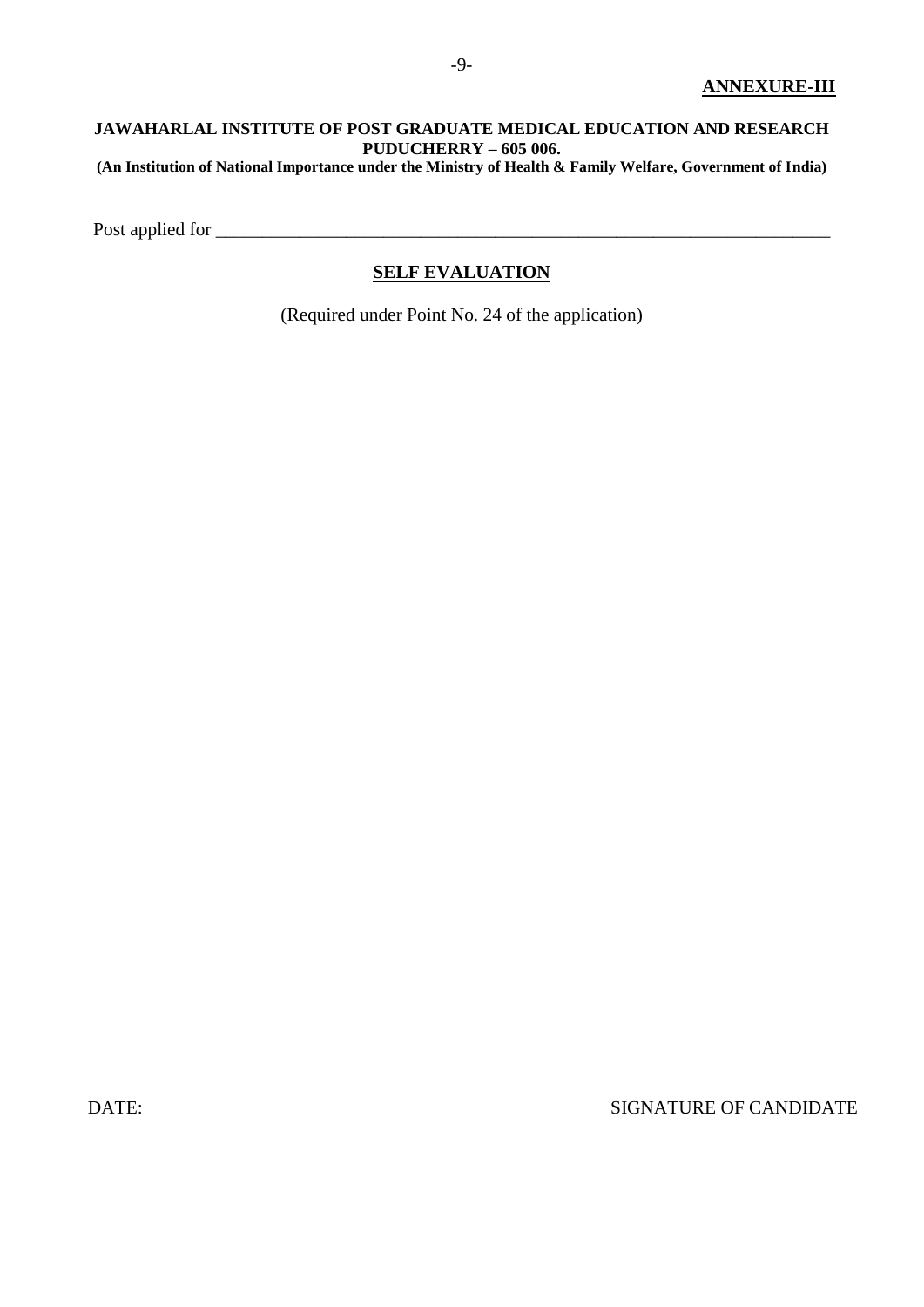#### **JAWAHARLAL INSTITUTE OF POST GRADUATE MEDICAL EDUCATION AND RESEARCH PUDUCHERRY – 605 006. (An Institution of National Importance under the Ministry of Health & Family Welfare, Government of India)**

Post applied for

## **SELF EVALUATION**

(Required under Point No. 24 of the application)

DATE: SIGNATURE OF CANDIDATE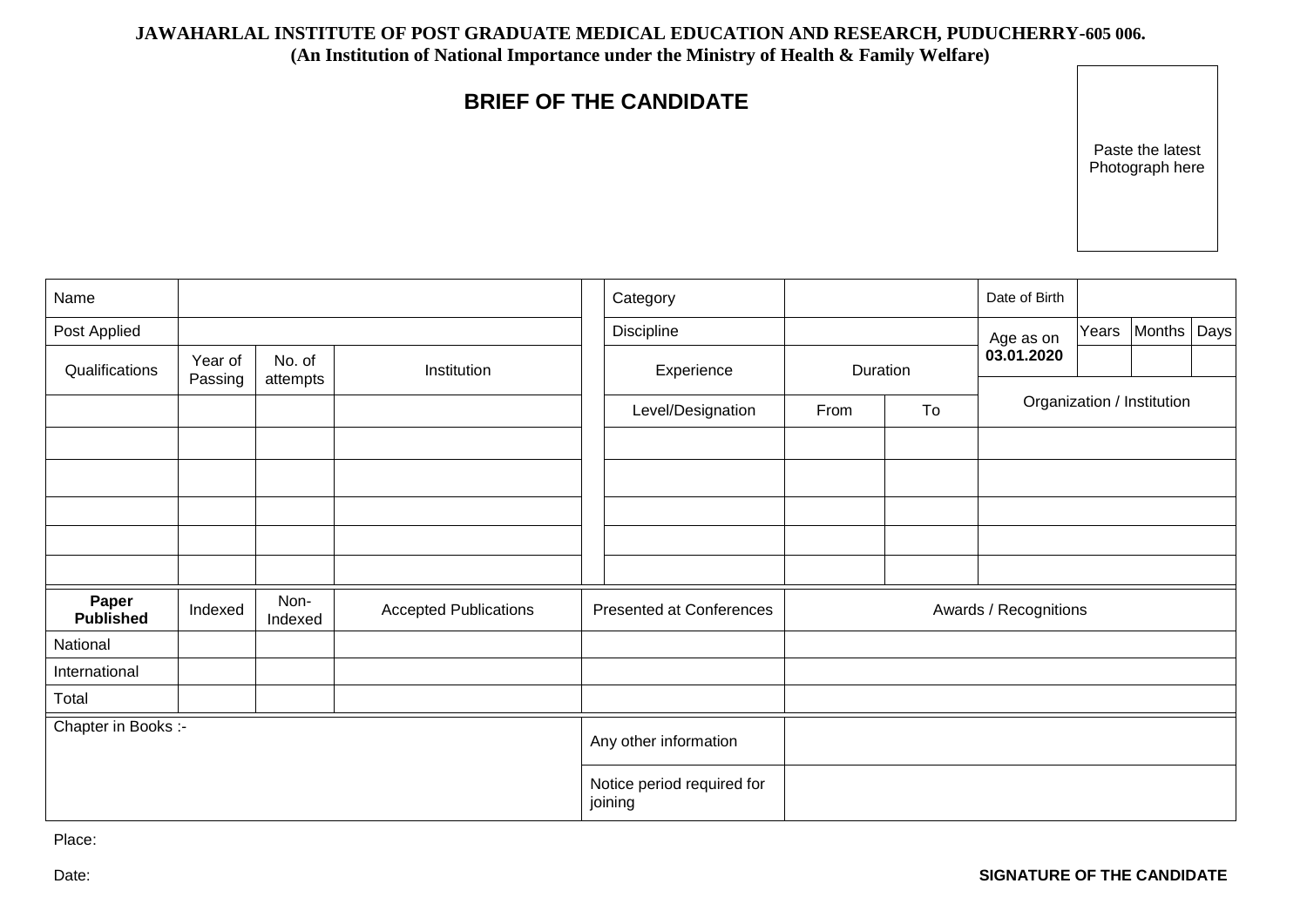#### **JAWAHARLAL INSTITUTE OF POST GRADUATE MEDICAL EDUCATION AND RESEARCH, PUDUCHERRY-605 006.**

**(An Institution of National Importance under the Ministry of Health & Family Welfare)**

# **BRIEF OF THE CANDIDATE**

Paste the latest Photograph here

| Name                      |                    |                    |                              |                                 | Category                              |                        |  | Date of Birth              |       |               |  |
|---------------------------|--------------------|--------------------|------------------------------|---------------------------------|---------------------------------------|------------------------|--|----------------------------|-------|---------------|--|
| Post Applied              |                    |                    |                              |                                 | Discipline                            |                        |  | Age as on                  | Years | Months   Days |  |
| Qualifications            | Year of<br>Passing | No. of<br>attempts | Institution                  |                                 | Experience                            | Duration<br>From<br>To |  | 03.01.2020                 |       |               |  |
|                           |                    |                    |                              |                                 | Level/Designation                     |                        |  | Organization / Institution |       |               |  |
|                           |                    |                    |                              |                                 |                                       |                        |  |                            |       |               |  |
|                           |                    |                    |                              |                                 |                                       |                        |  |                            |       |               |  |
|                           |                    |                    |                              |                                 |                                       |                        |  |                            |       |               |  |
|                           |                    |                    |                              |                                 |                                       |                        |  |                            |       |               |  |
|                           |                    |                    |                              |                                 |                                       |                        |  |                            |       |               |  |
| Paper<br><b>Published</b> | Indexed            | Non-<br>Indexed    | <b>Accepted Publications</b> | <b>Presented at Conferences</b> |                                       | Awards / Recognitions  |  |                            |       |               |  |
| National                  |                    |                    |                              |                                 |                                       |                        |  |                            |       |               |  |
| International             |                    |                    |                              |                                 |                                       |                        |  |                            |       |               |  |
| Total                     |                    |                    |                              |                                 |                                       |                        |  |                            |       |               |  |
| Chapter in Books :-       |                    |                    |                              |                                 | Any other information                 |                        |  |                            |       |               |  |
|                           |                    |                    |                              |                                 | Notice period required for<br>joining |                        |  |                            |       |               |  |

Place: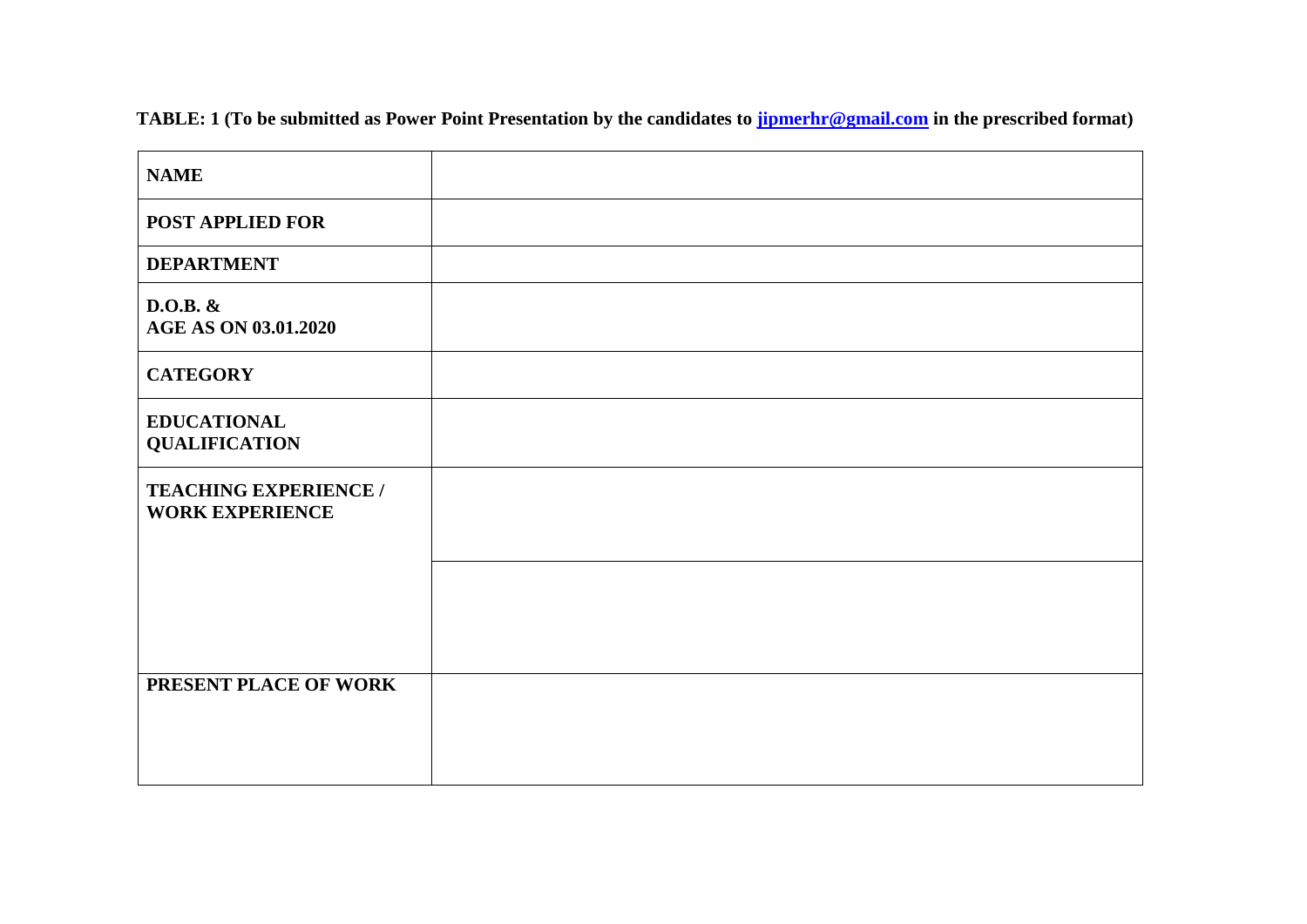| <b>NAME</b>                                            |  |
|--------------------------------------------------------|--|
| POST APPLIED FOR                                       |  |
| <b>DEPARTMENT</b>                                      |  |
| $D.O.B.$ &<br><b>AGE AS ON 03.01.2020</b>              |  |
| <b>CATEGORY</b>                                        |  |
| <b>EDUCATIONAL</b><br><b>QUALIFICATION</b>             |  |
| <b>TEACHING EXPERIENCE /</b><br><b>WORK EXPERIENCE</b> |  |
|                                                        |  |
| PRESENT PLACE OF WORK                                  |  |

 **TABLE: 1 (To be submitted as Power Point Presentation by the candidates to [jipmerhr@gmail.com](mailto:jipmerhr@gmail.com) in the prescribed format)**